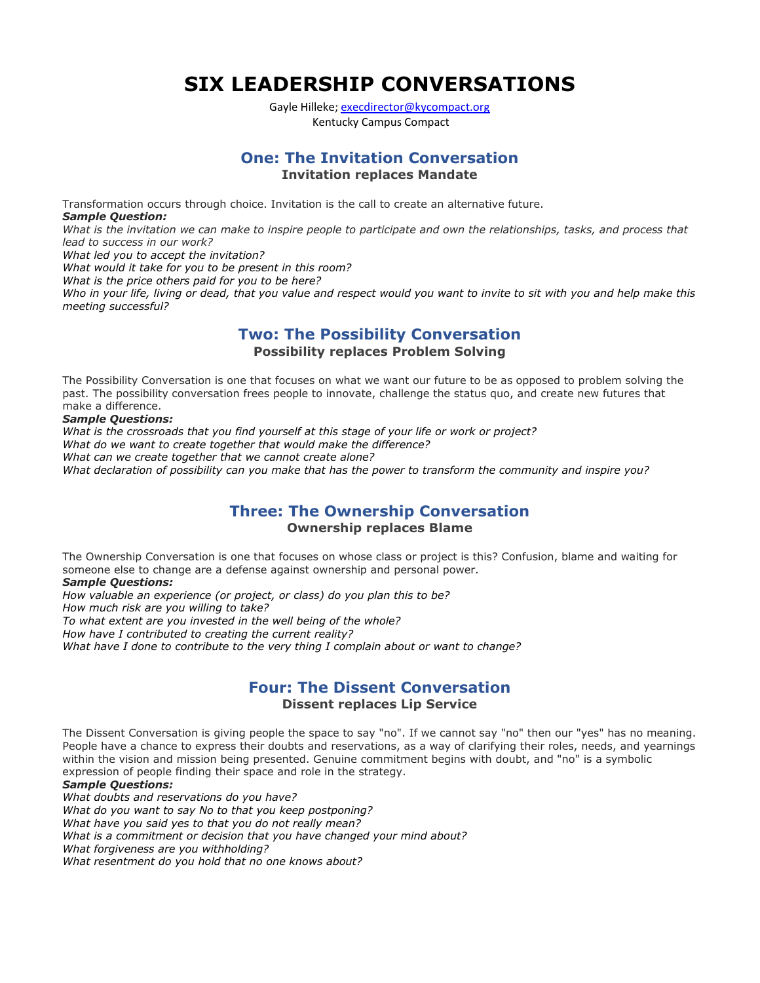**SIX LEADERSHIP CONVERSATIONS** 

Gayle Hilleke; [execdirector@kycompact.org](mailto:execdirector@kycompact.org) Kentucky Campus Compact

# **One: The Invitation Conversation Invitation replaces Mandate**

Transformation occurs through choice. Invitation is the call to create an alternative future. *Sample Question:*

*What is the invitation we can make to inspire people to participate and own the relationships, tasks, and process that lead to success in our work?*

*What led you to accept the invitation?* 

*What would it take for you to be present in this room?* 

*What is the price others paid for you to be here?* 

*Who in your life, living or dead, that you value and respect would you want to invite to sit with you and help make this meeting successful?*

## **Two: The Possibility Conversation Possibility replaces Problem Solving**

The Possibility Conversation is one that focuses on what we want our future to be as opposed to problem solving the past. The possibility conversation frees people to innovate, challenge the status quo, and create new futures that make a difference.

#### *Sample Questions:*

*What is the crossroads that you find yourself at this stage of your life or work or project? What do we want to create together that would make the difference? What can we create together that we cannot create alone? What declaration of possibility can you make that has the power to transform the community and inspire you?*

## **Three: The Ownership Conversation Ownership replaces Blame**

The Ownership Conversation is one that focuses on whose class or project is this? Confusion, blame and waiting for someone else to change are a defense against ownership and personal power.

#### *Sample Questions:*

*How valuable an experience (or project, or class) do you plan this to be? How much risk are you willing to take? To what extent are you invested in the well being of the whole? How have I contributed to creating the current reality? What have I done to contribute to the very thing I complain about or want to change?*

### **Four: The Dissent Conversation Dissent replaces Lip Service**

The Dissent Conversation is giving people the space to say "no". If we cannot say "no" then our "yes" has no meaning. People have a chance to express their doubts and reservations, as a way of clarifying their roles, needs, and yearnings within the vision and mission being presented. Genuine commitment begins with doubt, and "no" is a symbolic expression of people finding their space and role in the strategy.

#### *Sample Questions:*

*What doubts and reservations do you have? What do you want to say No to that you keep postponing? What have you said yes to that you do not really mean? What is a commitment or decision that you have changed your mind about? What forgiveness are you withholding? What resentment do you hold that no one knows about?*